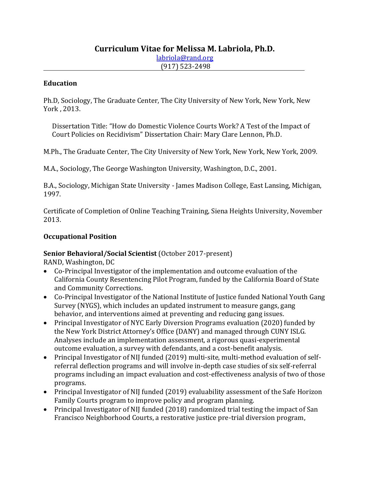# **Curriculum Vitae for Melissa M. Labriola, Ph.D.** [labriola@rand.org](mailto:labriola@rand.org) (917) 523-2498

#### **Education**

Ph.D, Sociology, The Graduate Center, The City University of New York, New York, New York , 2013.

Dissertation Title: "How do Domestic Violence Courts Work? A Test of the Impact of Court Policies on Recidivism" Dissertation Chair: Mary Clare Lennon, Ph.D.

M.Ph., The Graduate Center, The City University of New York, New York, New York, 2009.

M.A., Sociology, The George Washington University, Washington, D.C., 2001.

B.A., Sociology, Michigan State University - James Madison College, East Lansing, Michigan, 1997.

Certificate of Completion of Online Teaching Training, Siena Heights University, November 2013.

#### **Occupational Position**

#### **Senior Behavioral/Social Scientist** (October 2017-present)

RAND, Washington, DC

- Co-Principal Investigator of the implementation and outcome evaluation of the California County Resentencing Pilot Program, funded by the California Board of State and Community Corrections.
- Co-Principal Investigator of the National Institute of Justice funded National Youth Gang Survey (NYGS), which includes an updated instrument to measure gangs, gang behavior, and interventions aimed at preventing and reducing gang issues.
- Principal Investigator of NYC Early Diversion Programs evaluation (2020) funded by the New York District Attorney's Office (DANY) and managed through CUNY ISLG. Analyses include an implementation assessment, a rigorous quasi-experimental outcome evaluation, a survey with defendants, and a cost-benefit analysis.
- Principal Investigator of NIJ funded (2019) multi-site, multi-method evaluation of selfreferral deflection programs and will involve in-depth case studies of six self-referral programs including an impact evaluation and cost-effectiveness analysis of two of those programs.
- Principal Investigator of NIJ funded (2019) evaluability assessment of the Safe Horizon Family Courts program to improve policy and program planning.
- Principal Investigator of NIJ funded (2018) randomized trial testing the impact of San Francisco Neighborhood Courts, a restorative justice pre-trial diversion program,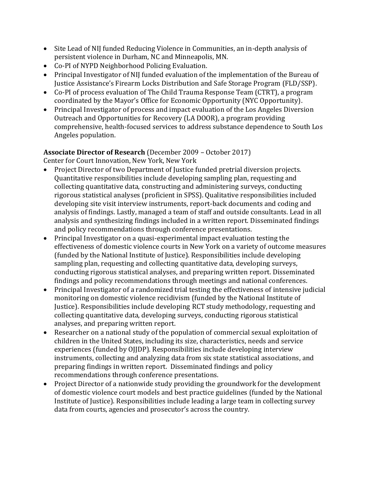- Site Lead of NIJ funded Reducing Violence in Communities, an in-depth analysis of persistent violence in Durham, NC and Minneapolis, MN.
- Co-PI of NYPD Neighborhood Policing Evaluation.
- Principal Investigator of NIJ funded evaluation of the implementation of the Bureau of Justice Assistance's Firearm Locks Distribution and Safe Storage Program (FLD/SSP).
- Co-PI of process evaluation of The Child Trauma Response Team (CTRT), a program coordinated by the Mayor's Office for Economic Opportunity (NYC Opportunity).
- Principal Investigator of process and impact evaluation of the Los Angeles Diversion Outreach and Opportunities for Recovery (LA DOOR), a program providing comprehensive, health-focused services to address substance dependence to South Los Angeles population.

# **Associate Director of Research** (December 2009 – October 2017)

Center for Court Innovation, New York, New York

- Project Director of two Department of Justice funded pretrial diversion projects. Quantitative responsibilities include developing sampling plan, requesting and collecting quantitative data, constructing and administering surveys, conducting rigorous statistical analyses (proficient in SPSS). Qualitative responsibilities included developing site visit interview instruments, report-back documents and coding and analysis of findings. Lastly, managed a team of staff and outside consultants. Lead in all analysis and synthesizing findings included in a written report. Disseminated findings and policy recommendations through conference presentations.
- Principal Investigator on a quasi-experimental impact evaluation testing the effectiveness of domestic violence courts in New York on a variety of outcome measures (funded by the National Institute of Justice). Responsibilities include developing sampling plan, requesting and collecting quantitative data, developing surveys, conducting rigorous statistical analyses, and preparing written report. Disseminated findings and policy recommendations through meetings and national conferences.
- Principal Investigator of a randomized trial testing the effectiveness of intensive judicial monitoring on domestic violence recidivism (funded by the National Institute of Justice). Responsibilities include developing RCT study methodology, requesting and collecting quantitative data, developing surveys, conducting rigorous statistical analyses, and preparing written report.
- Researcher on a national study of the population of commercial sexual exploitation of children in the United States, including its size, characteristics, needs and service experiences (funded by OJJDP). Responsibilities include developing interview instruments, collecting and analyzing data from six state statistical associations, and preparing findings in written report. Disseminated findings and policy recommendations through conference presentations.
- Project Director of a nationwide study providing the groundwork for the development of domestic violence court models and best practice guidelines (funded by the National Institute of Justice). Responsibilities include leading a large team in collecting survey data from courts, agencies and prosecutor's across the country.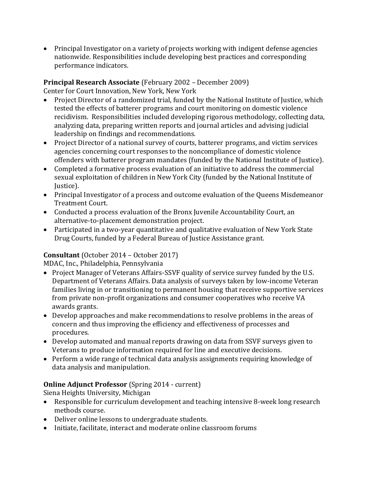• Principal Investigator on a variety of projects working with indigent defense agencies nationwide. Responsibilities include developing best practices and corresponding performance indicators.

# **Principal Research Associate** (February 2002 – December 2009)

Center for Court Innovation, New York, New York

- Project Director of a randomized trial, funded by the National Institute of Justice, which tested the effects of batterer programs and court monitoring on domestic violence recidivism. Responsibilities included developing rigorous methodology, collecting data, analyzing data, preparing written reports and journal articles and advising judicial leadership on findings and recommendations.
- Project Director of a national survey of courts, batterer programs, and victim services agencies concerning court responses to the noncompliance of domestic violence offenders with batterer program mandates (funded by the National Institute of Justice).
- Completed a formative process evaluation of an initiative to address the commercial sexual exploitation of children in New York City (funded by the National Institute of Justice).
- Principal Investigator of a process and outcome evaluation of the Queens Misdemeanor Treatment Court.
- Conducted a process evaluation of the Bronx Juvenile Accountability Court, an alternative-to-placement demonstration project.
- Participated in a two-year quantitative and qualitative evaluation of New York State Drug Courts, funded by a Federal Bureau of Justice Assistance grant.

# **Consultant** (October 2014 – October 2017)

MDAC, Inc., Philadelphia, Pennsylvania

- Project Manager of Veterans Affairs-SSVF quality of service survey funded by the U.S. Department of Veterans Affairs. Data analysis of surveys taken by low-income Veteran families living in or transitioning to permanent housing that receive supportive services from private non-profit organizations and consumer cooperatives who receive VA awards grants.
- Develop approaches and make recommendations to resolve problems in the areas of concern and thus improving the efficiency and effectiveness of processes and procedures.
- Develop automated and manual reports drawing on data from SSVF surveys given to Veterans to produce information required for line and executive decisions.
- Perform a wide range of technical data analysis assignments requiring knowledge of data analysis and manipulation.

# **Online Adjunct Professor** (Spring 2014 - current)

Siena Heights University, Michigan

- Responsible for curriculum development and teaching intensive 8-week long research methods course.
- Deliver online lessons to undergraduate students.
- Initiate, facilitate, interact and moderate online classroom forums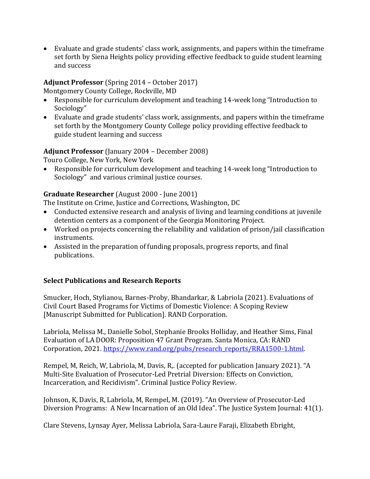• Evaluate and grade students' class work, assignments, and papers within the timeframe set forth by Siena Heights policy providing effective feedback to guide student learning and success

#### **Adjunct Professor** (Spring 2014 – October 2017)

Montgomery County College, Rockville, MD

- Responsible for curriculum development and teaching 14-week long "Introduction to Sociology"
- Evaluate and grade students' class work, assignments, and papers within the timeframe set forth by the Montgomery County College policy providing effective feedback to guide student learning and success

### **Adjunct Professor** (January 2004 – December 2008)

Touro College, New York, New York

• Responsible for curriculum development and teaching 14-week long "Introduction to Sociology" and various criminal justice courses.

### **Graduate Researcher** (August 2000 - June 2001)

The Institute on Crime, Justice and Corrections, Washington, DC

- Conducted extensive research and analysis of living and learning conditions at juvenile detention centers as a component of the Georgia Monitoring Project.
- Worked on projects concerning the reliability and validation of prison/jail classification instruments.
- Assisted in the preparation of funding proposals, progress reports, and final publications.

# **Select Publications and Research Reports**

Smucker, Hoch, Stylianou, Barnes-Proby, Bhandarkar, & Labriola (2021). Evaluations of Civil Court Based Programs for Victims of Domestic Violence: A Scoping Review [Manuscript Submitted for Publication]. RAND Corporation.

Labriola, Melissa M., Danielle Sobol, Stephanie Brooks Holliday, and Heather Sims, Final Evaluation of LA DOOR: Proposition 47 Grant Program. Santa Monica, CA: RAND Corporation, 2021. [https://www.rand.org/pubs/research\\_reports/RRA1500-1.html.](https://www.rand.org/pubs/research_reports/RRA1500-1.html)

Rempel, M, Reich, W, Labriola, M, Davis, R,. (accepted for publication January 2021). "A Multi-Site Evaluation of Prosecutor-Led Pretrial Diversion: Effects on Conviction, Incarceration, and Recidivism". Criminal Justice Policy Review.

Johnson, K, Davis, R, Labriola, M, Rempel, M. (2019). "An Overview of Prosecutor-Led Diversion Programs: A New Incarnation of an Old Idea". The Justice System Journal: 41(1).

Clare Stevens, Lynsay Ayer, Melissa Labriola, Sara-Laure Faraji, Elizabeth Ebright,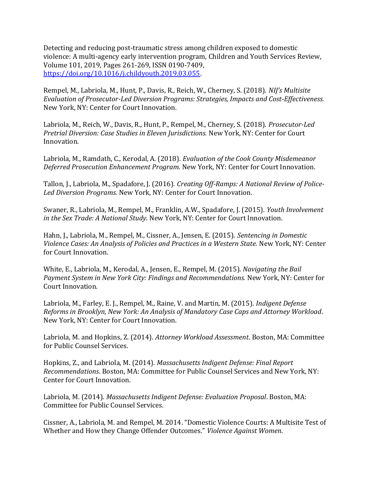Detecting and reducing post-traumatic stress among children exposed to domestic violence: A multi-agency early intervention program, Children and Youth Services Review, Volume 101, 2019, Pages 261-269, ISSN 0190-7409, [https://doi.org/10.1016/j.childyouth.2019.03.055.](https://doi.org/10.1016/j.childyouth.2019.03.055)

Rempel, M., Labriola, M., Hunt, P., Davis, R., Reich, W., Cherney, S. (2018). *NIJ's Multisite Evaluation of Prosecutor-Led Diversion Programs: Strategies, Impacts and Cost-Effectiveness.*  New York, NY: Center for Court Innovation.

Labriola, M., Reich, W., Davis, R., Hunt, P., Rempel, M., Cherney, S. (2018). *Prosecutor-Led Pretrial Diversion: Case Studies in Eleven Jurisdictions.* New York, NY: Center for Court Innovation.

Labriola, M., Ramdath, C., Kerodal, A. (2018). *Evaluation of the Cook County Misdemeanor Deferred Prosecution Enhancement Program.* New York, NY: Center for Court Innovation.

Tallon, J., Labriola, M., Spadafore, J. (2016). *Creating Off-Ramps: A National Review of Police-Led Diversion Programs.* New York, NY: Center for Court Innovation.

Swaner, R., Labriola, M., Rempel, M., Franklin, A.W., Spadafore, J. (2015). *Youth Involvement in the Sex Trade: A National Study.* New York, NY: Center for Court Innovation.

Hahn, J., Labriola, M., Rempel, M., Cissner, A., Jensen, E. (2015). *Sentencing in Domestic Violence Cases: An Analysis of Policies and Practices in a Western State.* New York, NY: Center for Court Innovation.

White, E., Labriola, M., Kerodal, A., Jensen, E., Rempel, M. (2015). *Navigating the Bail Payment System in New York City: Findings and Recommendations.* New York, NY: Center for Court Innovation.

Labriola, M., Farley, E. J., Rempel, M., Raine, V. and Martin, M. (2015)*. Indigent Defense Reforms in Brooklyn, New York: An Analysis of Mandatory Case Caps and Attorney Workload*. New York, NY: Center for Court Innovation.

Labriola, M. and Hopkins, Z. (2014). *Attorney Workload Assessment*. Boston, MA: Committee for Public Counsel Services.

Hopkins, Z., and Labriola, M. (2014). *Massachusetts Indigent Defense: Final Report Recommendations*. Boston, MA: Committee for Public Counsel Services and New York, NY: Center for Court Innovation.

Labriola, M. (2014). *Massachusetts Indigent Defense: Evaluation Proposal*. Boston, MA: Committee for Public Counsel Services.

Cissner, A., Labriola, M. and Rempel, M. 2014. "Domestic Violence Courts: A Multisite Test of Whether and How they Change Offender Outcomes." *Violence Against Women*.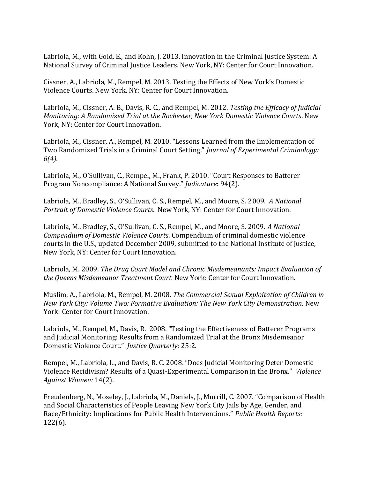Labriola, M., with Gold, E., and Kohn, J. 2013. Innovation in the Criminal Justice System: A National Survey of Criminal Justice Leaders. New York, NY: Center for Court Innovation.

Cissner, A., Labriola, M., Rempel, M. 2013. Testing the Effects of New York's Domestic Violence Courts. New York, NY: Center for Court Innovation.

Labriola, M., Cissner, A. B., Davis, R. C., and Rempel, M. 2012. *Testing the Efficacy of Judicial Monitoring: A Randomized Trial at the Rochester, New York Domestic Violence Courts*. New York, NY: Center for Court Innovation.

Labriola, M., Cissner, A., Rempel, M. 2010. "Lessons Learned from the Implementation of Two Randomized Trials in a Criminal Court Setting." *[Journal of Experimental Criminology:](http://www.springerlink.com/content/1573-3750/) 6(4).*

Labriola, M., O'Sullivan, C., Rempel, M., Frank, P. 2010. "Court Responses to Batterer Program Noncompliance: A National Survey." *Judicature*: 94(2).

Labriola, M., Bradley, S., O'Sullivan, C. S., Rempel, M., and Moore, S. 2009. *A National Portrait of Domestic Violence Courts.* New York, NY: Center for Court Innovation.

Labriola, M., Bradley, S., O'Sullivan, C. S., Rempel, M., and Moore, S. 2009. *A National Compendium of Domestic Violence Courts*. Compendium of criminal domestic violence courts in the U.S., updated December 2009, submitted to the National Institute of Justice, New York, NY: Center for Court Innovation.

Labriola, M. 2009. *The Drug Court Model and Chronic Misdemeanants: Impact Evaluation of the Queens Misdemeanor Treatment Court.* New York: Center for Court Innovation.

Muslim, A., Labriola, M., Rempel, M. 2008. *The Commercial Sexual Exploitation of Children in New York City: Volume Two: Formative Evaluation: The New York City Demonstration.* New York: Center for Court Innovation.

Labriola, M., Rempel, M., Davis, R. 2008. "Testing the Effectiveness of Batterer Programs and Judicial Monitoring: Results from a Randomized Trial at the Bronx Misdemeanor Domestic Violence Court." *Justice Quarterly:* 25:2.

Rempel, M., Labriola, L., and Davis, R. C. 2008. "Does Judicial Monitoring Deter Domestic Violence Recidivism? Results of a Quasi-Experimental Comparison in the Bronx." *Violence Against Women:* 14(2).

Freudenberg, N., Moseley, J., Labriola, M., Daniels, J., Murrill, C. 2007. "Comparison of Health and Social Characteristics of People Leaving New York City Jails by Age, Gender, and Race/Ethnicity: Implications for Public Health Interventions." *Public Health Reports:*  122(6).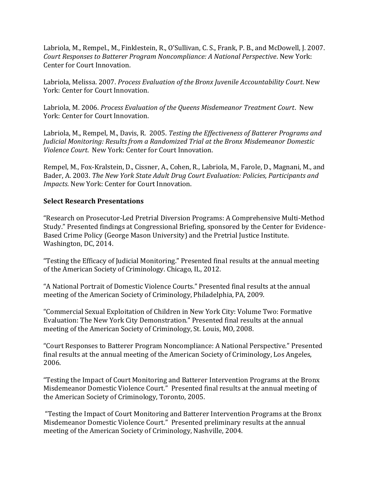Labriola, M., Rempel., M., Finklestein, R., O'Sullivan, C. S., Frank, P. B., and McDowell, J. 2007. *Court Responses to Batterer Program Noncompliance: A National Perspective*. New York: Center for Court Innovation.

Labriola, Melissa. 2007. *Process Evaluation of the Bronx Juvenile Accountability Court*. New York: Center for Court Innovation.

Labriola, M. 2006. *Process Evaluation of the Queens Misdemeanor Treatment Court*. New York: Center for Court Innovation.

Labriola, M., Rempel, M., Davis, R. 2005. *Testing the Effectiveness of Batterer Programs and Judicial Monitoring: Results from a Randomized Trial at the Bronx Misdemeanor Domestic Violence Court*. New York: Center for Court Innovation.

Rempel, M., Fox-Kralstein, D., Cissner, A., Cohen, R., Labriola, M., Farole, D., Magnani, M., and Bader, A. 2003. *The New York State Adult Drug Court Evaluation: Policies, Participants and Impacts*. New York: Center for Court Innovation.

#### **Select Research Presentations**

"Research on Prosecutor-Led Pretrial Diversion Programs: A Comprehensive Multi-Method Study." Presented findings at Congressional Briefing, sponsored by the Center for Evidence-Based Crime Policy (George Mason University) and the Pretrial Justice Institute. Washington, DC, 2014.

"Testing the Efficacy of Judicial Monitoring." Presented final results at the annual meeting of the American Society of Criminology. Chicago, IL, 2012.

"A National Portrait of Domestic Violence Courts." Presented final results at the annual meeting of the American Society of Criminology, Philadelphia, PA, 2009.

"Commercial Sexual Exploitation of Children in New York City: Volume Two: Formative Evaluation: The New York City Demonstration." Presented final results at the annual meeting of the American Society of Criminology, St. Louis, MO, 2008.

"Court Responses to Batterer Program Noncompliance: A National Perspective." Presented final results at the annual meeting of the American Society of Criminology, Los Angeles, 2006.

"Testing the Impact of Court Monitoring and Batterer Intervention Programs at the Bronx Misdemeanor Domestic Violence Court." Presented final results at the annual meeting of the American Society of Criminology, Toronto, 2005.

"Testing the Impact of Court Monitoring and Batterer Intervention Programs at the Bronx Misdemeanor Domestic Violence Court." Presented preliminary results at the annual meeting of the American Society of Criminology, Nashville, 2004.